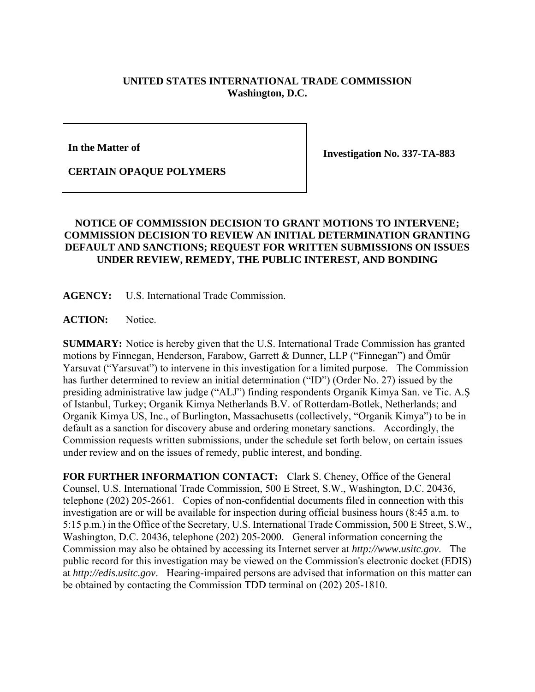## **UNITED STATES INTERNATIONAL TRADE COMMISSION Washington, D.C.**

**In the Matter of** 

**Investigation No. 337-TA-883** 

## **CERTAIN OPAQUE POLYMERS**

## **NOTICE OF COMMISSION DECISION TO GRANT MOTIONS TO INTERVENE; COMMISSION DECISION TO REVIEW AN INITIAL DETERMINATION GRANTING DEFAULT AND SANCTIONS; REQUEST FOR WRITTEN SUBMISSIONS ON ISSUES UNDER REVIEW, REMEDY, THE PUBLIC INTEREST, AND BONDING**

**AGENCY:** U.S. International Trade Commission.

ACTION: Notice.

**SUMMARY:** Notice is hereby given that the U.S. International Trade Commission has granted motions by Finnegan, Henderson, Farabow, Garrett & Dunner, LLP ("Finnegan") and Ömür Yarsuvat ("Yarsuvat") to intervene in this investigation for a limited purpose. The Commission has further determined to review an initial determination ("ID") (Order No. 27) issued by the presiding administrative law judge ("ALJ") finding respondents Organik Kimya San. ve Tic. A.Ş of Istanbul, Turkey; Organik Kimya Netherlands B.V. of Rotterdam-Botlek, Netherlands; and Organik Kimya US, Inc., of Burlington, Massachusetts (collectively, "Organik Kimya") to be in default as a sanction for discovery abuse and ordering monetary sanctions. Accordingly, the Commission requests written submissions, under the schedule set forth below, on certain issues under review and on the issues of remedy, public interest, and bonding.

**FOR FURTHER INFORMATION CONTACT:** Clark S. Cheney, Office of the General Counsel, U.S. International Trade Commission, 500 E Street, S.W., Washington, D.C. 20436, telephone (202) 205-2661. Copies of non-confidential documents filed in connection with this investigation are or will be available for inspection during official business hours (8:45 a.m. to 5:15 p.m.) in the Office of the Secretary, U.S. International Trade Commission, 500 E Street, S.W., Washington, D.C. 20436, telephone (202) 205-2000. General information concerning the Commission may also be obtained by accessing its Internet server at *http://www.usitc.gov*. The public record for this investigation may be viewed on the Commission's electronic docket (EDIS) at *http://edis.usitc.gov*. Hearing-impaired persons are advised that information on this matter can be obtained by contacting the Commission TDD terminal on (202) 205-1810.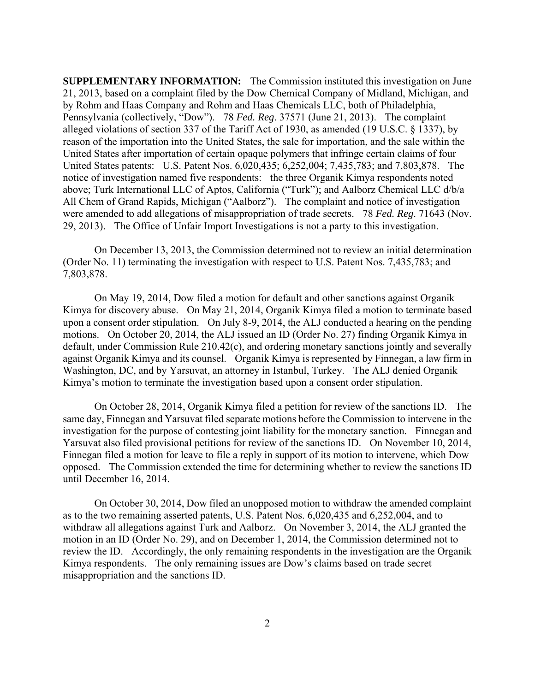**SUPPLEMENTARY INFORMATION:** The Commission instituted this investigation on June 21, 2013, based on a complaint filed by the Dow Chemical Company of Midland, Michigan, and by Rohm and Haas Company and Rohm and Haas Chemicals LLC, both of Philadelphia, Pennsylvania (collectively, "Dow"). 78 *Fed. Reg*. 37571 (June 21, 2013). The complaint alleged violations of section 337 of the Tariff Act of 1930, as amended (19 U.S.C. § 1337), by reason of the importation into the United States, the sale for importation, and the sale within the United States after importation of certain opaque polymers that infringe certain claims of four United States patents: U.S. Patent Nos. 6,020,435; 6,252,004; 7,435,783; and 7,803,878. The notice of investigation named five respondents: the three Organik Kimya respondents noted above; Turk International LLC of Aptos, California ("Turk"); and Aalborz Chemical LLC d/b/a All Chem of Grand Rapids, Michigan ("Aalborz"). The complaint and notice of investigation were amended to add allegations of misappropriation of trade secrets. 78 *Fed. Reg*. 71643 (Nov. 29, 2013). The Office of Unfair Import Investigations is not a party to this investigation.

On December 13, 2013, the Commission determined not to review an initial determination (Order No. 11) terminating the investigation with respect to U.S. Patent Nos. 7,435,783; and 7,803,878.

On May 19, 2014, Dow filed a motion for default and other sanctions against Organik Kimya for discovery abuse. On May 21, 2014, Organik Kimya filed a motion to terminate based upon a consent order stipulation. On July 8-9, 2014, the ALJ conducted a hearing on the pending motions. On October 20, 2014, the ALJ issued an ID (Order No. 27) finding Organik Kimya in default, under Commission Rule 210.42(c), and ordering monetary sanctions jointly and severally against Organik Kimya and its counsel. Organik Kimya is represented by Finnegan, a law firm in Washington, DC, and by Yarsuvat, an attorney in Istanbul, Turkey. The ALJ denied Organik Kimya's motion to terminate the investigation based upon a consent order stipulation.

On October 28, 2014, Organik Kimya filed a petition for review of the sanctions ID. The same day, Finnegan and Yarsuvat filed separate motions before the Commission to intervene in the investigation for the purpose of contesting joint liability for the monetary sanction. Finnegan and Yarsuvat also filed provisional petitions for review of the sanctions ID. On November 10, 2014, Finnegan filed a motion for leave to file a reply in support of its motion to intervene, which Dow opposed. The Commission extended the time for determining whether to review the sanctions ID until December 16, 2014.

On October 30, 2014, Dow filed an unopposed motion to withdraw the amended complaint as to the two remaining asserted patents, U.S. Patent Nos. 6,020,435 and 6,252,004, and to withdraw all allegations against Turk and Aalborz. On November 3, 2014, the ALJ granted the motion in an ID (Order No. 29), and on December 1, 2014, the Commission determined not to review the ID. Accordingly, the only remaining respondents in the investigation are the Organik Kimya respondents. The only remaining issues are Dow's claims based on trade secret misappropriation and the sanctions ID.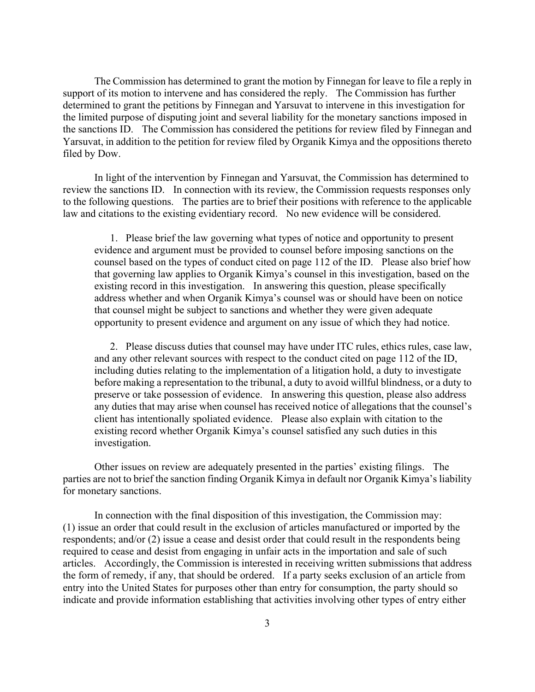The Commission has determined to grant the motion by Finnegan for leave to file a reply in support of its motion to intervene and has considered the reply. The Commission has further determined to grant the petitions by Finnegan and Yarsuvat to intervene in this investigation for the limited purpose of disputing joint and several liability for the monetary sanctions imposed in the sanctions ID. The Commission has considered the petitions for review filed by Finnegan and Yarsuvat, in addition to the petition for review filed by Organik Kimya and the oppositions thereto filed by Dow.

In light of the intervention by Finnegan and Yarsuvat, the Commission has determined to review the sanctions ID. In connection with its review, the Commission requests responses only to the following questions. The parties are to brief their positions with reference to the applicable law and citations to the existing evidentiary record. No new evidence will be considered.

1. Please brief the law governing what types of notice and opportunity to present evidence and argument must be provided to counsel before imposing sanctions on the counsel based on the types of conduct cited on page 112 of the ID. Please also brief how that governing law applies to Organik Kimya's counsel in this investigation, based on the existing record in this investigation. In answering this question, please specifically address whether and when Organik Kimya's counsel was or should have been on notice that counsel might be subject to sanctions and whether they were given adequate opportunity to present evidence and argument on any issue of which they had notice.

2. Please discuss duties that counsel may have under ITC rules, ethics rules, case law, and any other relevant sources with respect to the conduct cited on page 112 of the ID, including duties relating to the implementation of a litigation hold, a duty to investigate before making a representation to the tribunal, a duty to avoid willful blindness, or a duty to preserve or take possession of evidence. In answering this question, please also address any duties that may arise when counsel has received notice of allegations that the counsel's client has intentionally spoliated evidence. Please also explain with citation to the existing record whether Organik Kimya's counsel satisfied any such duties in this investigation.

Other issues on review are adequately presented in the parties' existing filings. The parties are not to brief the sanction finding Organik Kimya in default nor Organik Kimya's liability for monetary sanctions.

In connection with the final disposition of this investigation, the Commission may: (1) issue an order that could result in the exclusion of articles manufactured or imported by the respondents; and/or (2) issue a cease and desist order that could result in the respondents being required to cease and desist from engaging in unfair acts in the importation and sale of such articles. Accordingly, the Commission is interested in receiving written submissions that address the form of remedy, if any, that should be ordered. If a party seeks exclusion of an article from entry into the United States for purposes other than entry for consumption, the party should so indicate and provide information establishing that activities involving other types of entry either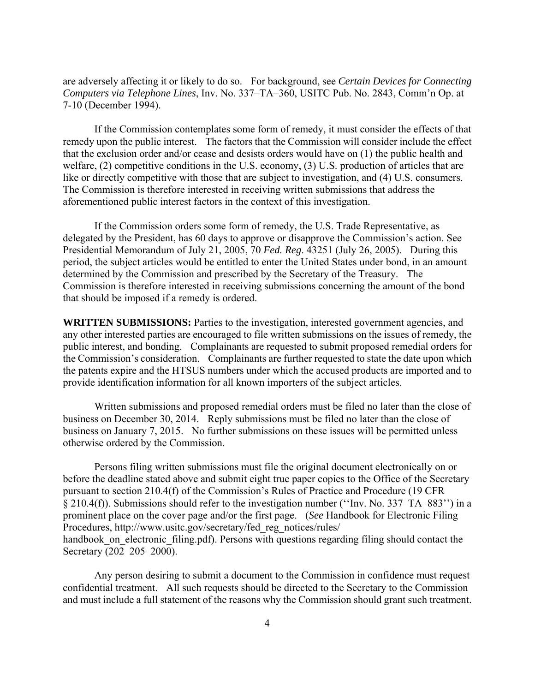are adversely affecting it or likely to do so. For background, see *Certain Devices for Connecting Computers via Telephone Lines*, Inv. No. 337–TA–360, USITC Pub. No. 2843, Comm'n Op. at 7-10 (December 1994).

If the Commission contemplates some form of remedy, it must consider the effects of that remedy upon the public interest. The factors that the Commission will consider include the effect that the exclusion order and/or cease and desists orders would have on (1) the public health and welfare, (2) competitive conditions in the U.S. economy, (3) U.S. production of articles that are like or directly competitive with those that are subject to investigation, and (4) U.S. consumers. The Commission is therefore interested in receiving written submissions that address the aforementioned public interest factors in the context of this investigation.

If the Commission orders some form of remedy, the U.S. Trade Representative, as delegated by the President, has 60 days to approve or disapprove the Commission's action. See Presidential Memorandum of July 21, 2005, 70 *Fed. Reg*. 43251 (July 26, 2005). During this period, the subject articles would be entitled to enter the United States under bond, in an amount determined by the Commission and prescribed by the Secretary of the Treasury. The Commission is therefore interested in receiving submissions concerning the amount of the bond that should be imposed if a remedy is ordered.

**WRITTEN SUBMISSIONS:** Parties to the investigation, interested government agencies, and any other interested parties are encouraged to file written submissions on the issues of remedy, the public interest, and bonding. Complainants are requested to submit proposed remedial orders for the Commission's consideration. Complainants are further requested to state the date upon which the patents expire and the HTSUS numbers under which the accused products are imported and to provide identification information for all known importers of the subject articles.

Written submissions and proposed remedial orders must be filed no later than the close of business on December 30, 2014. Reply submissions must be filed no later than the close of business on January 7, 2015. No further submissions on these issues will be permitted unless otherwise ordered by the Commission.

Persons filing written submissions must file the original document electronically on or before the deadline stated above and submit eight true paper copies to the Office of the Secretary pursuant to section 210.4(f) of the Commission's Rules of Practice and Procedure (19 CFR § 210.4(f)). Submissions should refer to the investigation number (''Inv. No. 337–TA–883'') in a prominent place on the cover page and/or the first page. (*See* Handbook for Electronic Filing Procedures, http://www.usitc.gov/secretary/fed\_reg\_notices/rules/ handbook on electronic filing.pdf). Persons with questions regarding filing should contact the Secretary (202–205–2000).

Any person desiring to submit a document to the Commission in confidence must request confidential treatment. All such requests should be directed to the Secretary to the Commission and must include a full statement of the reasons why the Commission should grant such treatment.